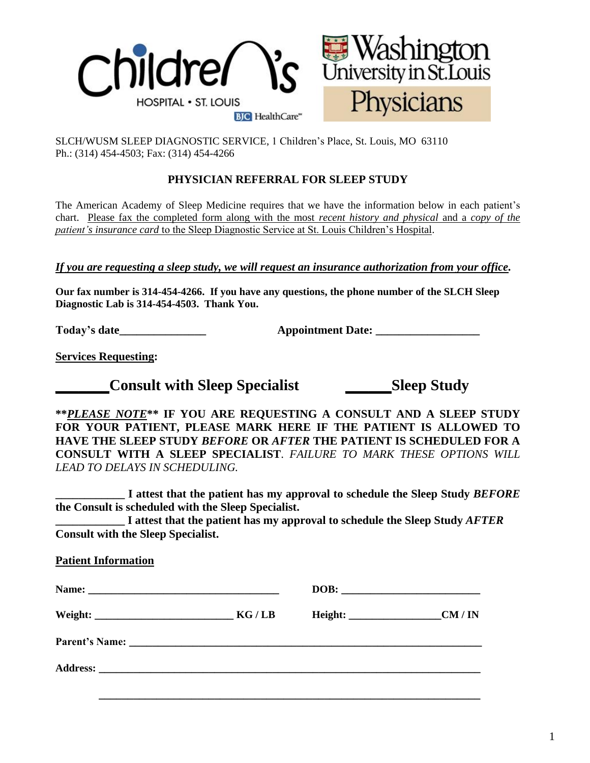

SLCH/WUSM SLEEP DIAGNOSTIC SERVICE, 1 Children's Place, St. Louis, MO 63110 Ph.: (314) 454-4503; Fax: (314) 454-4266

# **PHYSICIAN REFERRAL FOR SLEEP STUDY**

The American Academy of Sleep Medicine requires that we have the information below in each patient's chart. Please fax the completed form along with the most *recent history and physical* and a *copy of the patient's insurance card* to the Sleep Diagnostic Service at St. Louis Children's Hospital.

*If you are requesting a sleep study, we will request an insurance authorization from your office.*

**Our fax number is 314-454-4266. If you have any questions, the phone number of the SLCH Sleep Diagnostic Lab is 314-454-4503. Thank You.**

**Today's date\_\_\_\_\_\_\_\_\_\_\_\_\_\_\_ Appointment Date: \_\_\_\_\_\_\_\_\_\_\_\_\_\_\_\_\_\_**

**Services Requesting:**

**Consult with Sleep Specialist Sleep Study** 

**\*\****PLEASE NOTE***\*\* IF YOU ARE REQUESTING A CONSULT AND A SLEEP STUDY FOR YOUR PATIENT, PLEASE MARK HERE IF THE PATIENT IS ALLOWED TO HAVE THE SLEEP STUDY** *BEFORE* **OR** *AFTER* **THE PATIENT IS SCHEDULED FOR A CONSULT WITH A SLEEP SPECIALIST**. *FAILURE TO MARK THESE OPTIONS WILL LEAD TO DELAYS IN SCHEDULING.* 

**\_\_\_\_\_\_\_\_\_\_\_\_ I attest that the patient has my approval to schedule the Sleep Study** *BEFORE* **the Consult is scheduled with the Sleep Specialist.**

**\_\_\_\_\_\_\_\_\_\_\_\_ I attest that the patient has my approval to schedule the Sleep Study** *AFTER* **Consult with the Sleep Specialist.**

## **Patient Information**

| Name: |       |       |
|-------|-------|-------|
|       | KG/LB | CM/IN |
|       |       |       |
|       |       |       |
|       |       |       |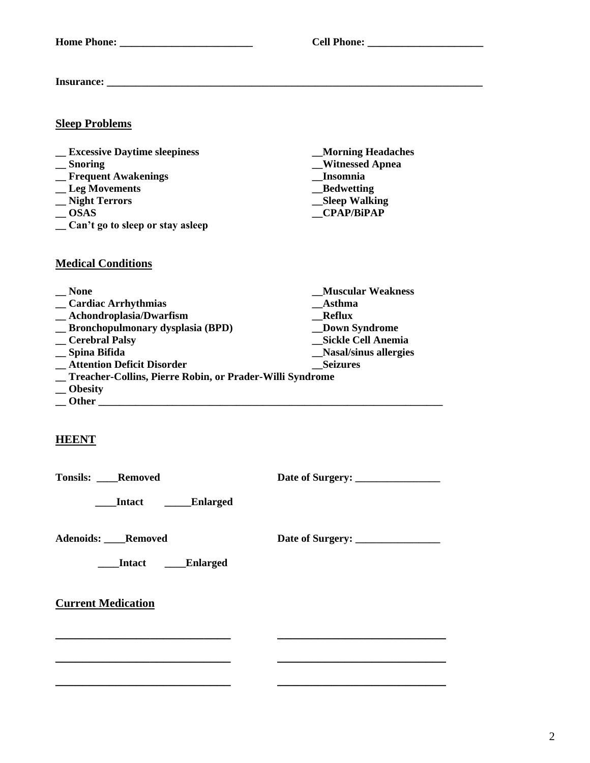$\text{Cell Phone:}\n$ 

**\_\_ OSAS \_\_CPAP/BiPAP**

**Insurance: \_\_\_\_\_\_\_\_\_\_\_\_\_\_\_\_\_\_\_\_\_\_\_\_\_\_\_\_\_\_\_\_\_\_\_\_\_\_\_\_\_\_\_\_\_\_\_\_\_\_\_\_\_\_\_\_\_\_\_\_\_\_\_\_\_**

## **Sleep Problems**

- **\_\_ Excessive Daytime sleepiness \_\_Morning Headaches**
- **\_\_ Snoring \_\_Witnessed Apnea**
- **\_\_ Frequent Awakenings \_\_Insomnia**
- **\_\_ Leg Movements \_\_Bedwetting**
- **\_\_ Night Terrors \_\_Sleep Walking**
- 
- **\_\_ Can't go to sleep or stay asleep**

#### **Medical Conditions**

**\_\_ None \_\_Muscular Weakness \_\_ Cardiac Arrhythmias \_\_Asthma**  $\qquad$  **\_\_ Achondroplasia/Dwarfism \_\_ Bronchopulmonary dysplasia (BPD) \_\_Down Syndrome \_\_ Cerebral Palsy \_\_Sickle Cell Anemia \_\_ Spina Bifida \_\_Nasal/sinus allergies 12. Attention Deficit Disorder <b>Example 20. Seizures \_\_ Treacher-Collins, Pierre Robin, or Prader-Willi Syndrome \_\_ Obesity \_\_ Other \_\_\_\_\_\_\_\_\_\_\_\_\_\_\_\_\_\_\_\_\_\_\_\_\_\_\_\_\_\_\_\_\_\_\_\_\_\_\_\_\_\_\_\_\_\_\_\_\_\_\_\_\_\_\_\_\_\_\_\_\_\_\_\_\_**

**\_\_\_\_\_\_\_\_\_\_\_\_\_\_\_\_\_\_\_\_\_\_\_\_\_\_ \_\_\_\_\_\_\_\_\_\_\_\_\_\_\_\_\_\_\_\_\_\_\_\_\_**

**\_\_\_\_\_\_\_\_\_\_\_\_\_\_\_\_\_\_\_\_\_\_\_\_\_\_ \_\_\_\_\_\_\_\_\_\_\_\_\_\_\_\_\_\_\_\_\_\_\_\_\_**

**\_\_\_\_\_\_\_\_\_\_\_\_\_\_\_\_\_\_\_\_\_\_\_\_\_\_ \_\_\_\_\_\_\_\_\_\_\_\_\_\_\_\_\_\_\_\_\_\_\_\_\_**

## **HEENT**

**Tonsils:** Removed Date of Surgery:

 **\_\_\_\_Intact \_\_\_\_\_Enlarged**

**Adenoids: \_\_\_\_Removed Date of Surgery: \_\_\_\_\_\_\_\_\_\_\_\_\_\_\_\_**

*<u>Intact</u>* **Enlarged** 

**Current Medication**